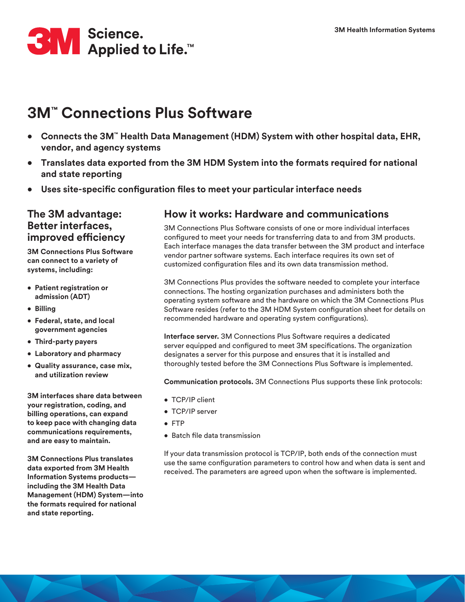

# **3M™ Connections Plus Software**

- **• Connects the 3M™ Health Data Management (HDM) System with other hospital data, EHR, vendor, and agency systems**
- **• Translates data exported from the 3M HDM System into the formats required for national and state reporting**
- **• Uses site-specific configuration files to meet your particular interface needs**

### **The 3M advantage: Better interfaces, improved efficiency**

**3M Connections Plus Software can connect to a variety of systems, including:**

- **• Patient registration or admission (ADT)**
- **• Billing**
- **• Federal, state, and local government agencies**
- **• Third-party payers**
- **• Laboratory and pharmacy**
- **• Quality assurance, case mix, and utilization review**

**3M interfaces share data between your registration, coding, and billing operations, can expand to keep pace with changing data communications requirements, and are easy to maintain.**

**3M Connections Plus translates data exported from 3M Health Information Systems products including the 3M Health Data Management (HDM) System—into the formats required for national and state reporting.**

### **How it works: Hardware and communications**

3M Connections Plus Software consists of one or more individual interfaces configured to meet your needs for transferring data to and from 3M products. Each interface manages the data transfer between the 3M product and interface vendor partner software systems. Each interface requires its own set of customized configuration files and its own data transmission method.

3M Connections Plus provides the software needed to complete your interface connections. The hosting organization purchases and administers both the operating system software and the hardware on which the 3M Connections Plus Software resides (refer to the 3M HDM System configuration sheet for details on recommended hardware and operating system configurations).

**Interface server.** 3M Connections Plus Software requires a dedicated server equipped and configured to meet 3M specifications. The organization designates a server for this purpose and ensures that it is installed and thoroughly tested before the 3M Connections Plus Software is implemented.

**Communication protocols.** 3M Connections Plus supports these link protocols:

- TCP/IP client
- TCP/IP server
- FTP
- Batch file data transmission

If your data transmission protocol is TCP/IP, both ends of the connection must use the same configuration parameters to control how and when data is sent and received. The parameters are agreed upon when the software is implemented.